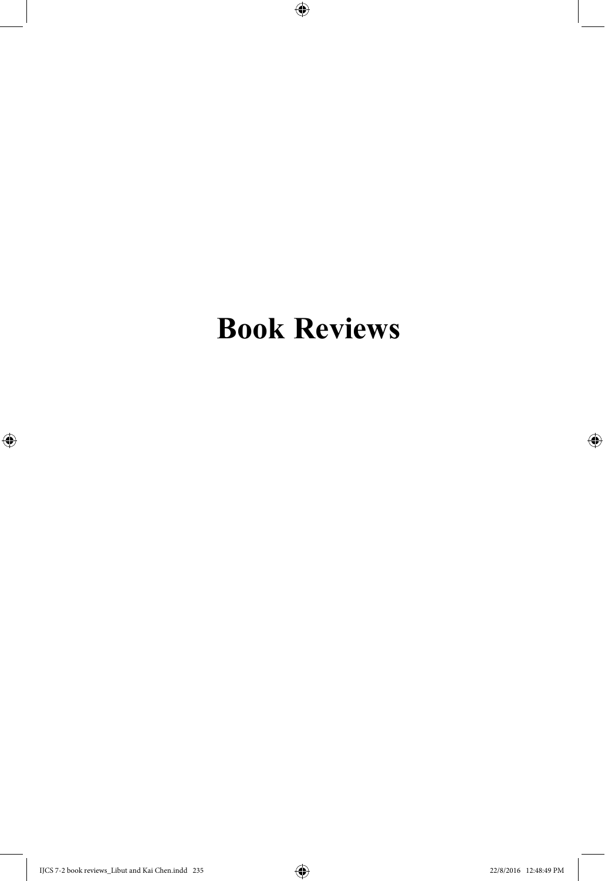## **Book Reviews**

 $\bigoplus$ 

 $\bigoplus$ 

 $\bigoplus$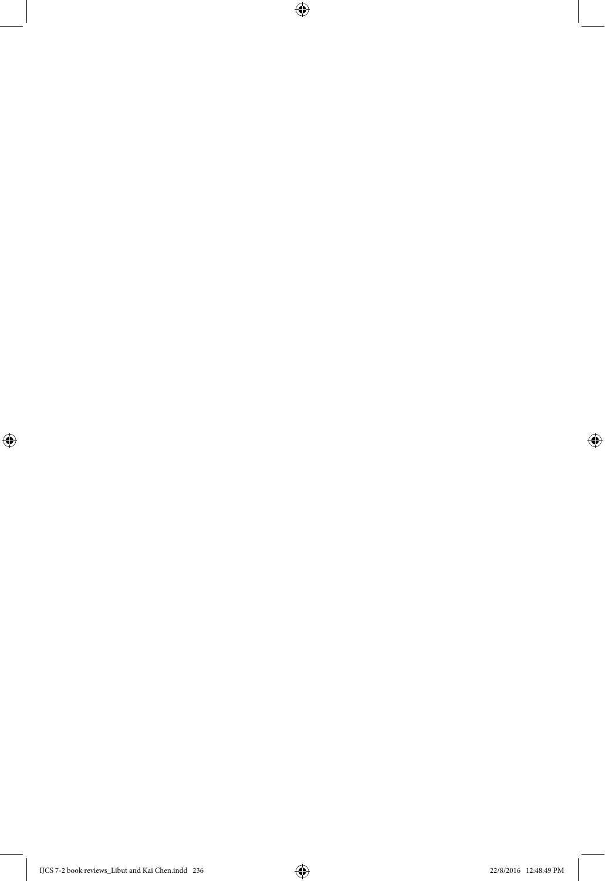

 $\bigoplus$ 

 $\bigoplus$ 

 $\bigoplus$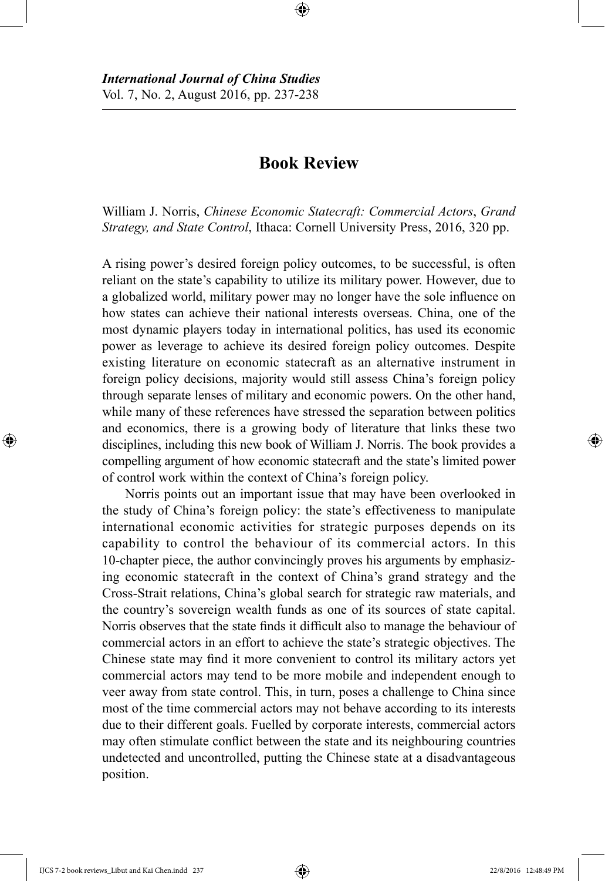## **Book Review**

⊕

William J. Norris, *Chinese Economic Statecraft: Commercial Actors*, *Grand Strategy, and State Control*, Ithaca: Cornell University Press, 2016, 320 pp.

A rising power's desired foreign policy outcomes, to be successful, is often reliant on the state's capability to utilize its military power. However, due to a globalized world, military power may no longer have the sole influence on how states can achieve their national interests overseas. China, one of the most dynamic players today in international politics, has used its economic power as leverage to achieve its desired foreign policy outcomes. Despite existing literature on economic statecraft as an alternative instrument in foreign policy decisions, majority would still assess China's foreign policy through separate lenses of military and economic powers. On the other hand, while many of these references have stressed the separation between politics and economics, there is a growing body of literature that links these two disciplines, including this new book of William J. Norris. The book provides a compelling argument of how economic statecraft and the state's limited power of control work within the context of China's foreign policy.

Norris points out an important issue that may have been overlooked in the study of China's foreign policy: the state's effectiveness to manipulate international economic activities for strategic purposes depends on its capability to control the behaviour of its commercial actors. In this 10-chapter piece, the author convincingly proves his arguments by emphasizing economic statecraft in the context of China's grand strategy and the Cross-Strait relations, China's global search for strategic raw materials, and the country's sovereign wealth funds as one of its sources of state capital. Norris observes that the state finds it difficult also to manage the behaviour of commercial actors in an effort to achieve the state's strategic objectives. The Chinese state may find it more convenient to control its military actors yet commercial actors may tend to be more mobile and independent enough to veer away from state control. This, in turn, poses a challenge to China since most of the time commercial actors may not behave according to its interests due to their different goals. Fuelled by corporate interests, commercial actors may often stimulate conflict between the state and its neighbouring countries undetected and uncontrolled, putting the Chinese state at a disadvantageous position.

⊕

⊕